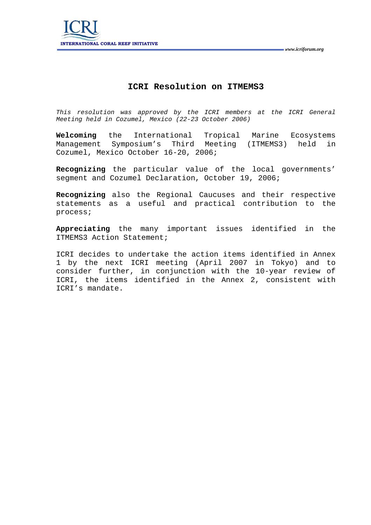

# **ICRI Resolution on ITMEMS3**

*This resolution was approved by the ICRI members at the ICRI General Meeting held in Cozumel, Mexico (22-23 October 2006)* 

**Welcoming** the International Tropical Marine Ecosystems Management Symposium's Third Meeting (ITMEMS3) held in Cozumel, Mexico October 16-20, 2006;

**Recognizing** the particular value of the local governments' segment and Cozumel Declaration, October 19, 2006;

**Recognizing** also the Regional Caucuses and their respective statements as a useful and practical contribution to the process;

**Appreciating** the many important issues identified in the ITMEMS3 Action Statement;

ICRI decides to undertake the action items identified in Annex 1 by the next ICRI meeting (April 2007 in Tokyo) and to consider further, in conjunction with the 10-year review of ICRI, the items identified in the Annex 2, consistent with ICRI's mandate.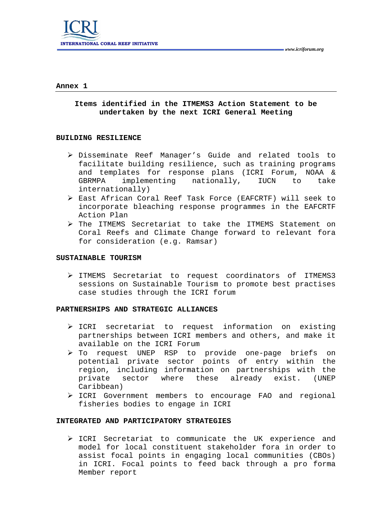

#### **Annex 1**

# **Items identified in the ITMEMS3 Action Statement to be undertaken by the next ICRI General Meeting**

#### **BUILDING RESILIENCE**

- ¾ Disseminate Reef Manager's Guide and related tools to facilitate building resilience, such as training programs and templates for response plans (ICRI Forum, NOAA & GBRMPA implementing nationally, IUCN to take internationally)
- ¾ East African Coral Reef Task Force (EAFCRTF) will seek to incorporate bleaching response programmes in the EAFCRTF Action Plan
- ¾ The ITMEMS Secretariat to take the ITMEMS Statement on Coral Reefs and Climate Change forward to relevant fora for consideration (e.g. Ramsar)

# SUSTAINABLE TOURISM

¾ ITMEMS Secretariat to request coordinators of ITMEMS3 sessions on Sustainable Tourism to promote best practises case studies through the ICRI forum

#### **PARTNERSHIPS AND STRATEGIC ALLIANCES**

- ¾ ICRI secretariat to request information on existing partnerships between ICRI members and others, and make it available on the ICRI Forum
- ¾ To request UNEP RSP to provide one-page briefs on potential private sector points of entry within the region, including information on partnerships with the private sector where these already exist. (UNEP Caribbean)
- ¾ ICRI Government members to encourage FAO and regional fisheries bodies to engage in ICRI

## **INTEGRATED AND PARTICIPATORY STRATEGIES**

¾ ICRI Secretariat to communicate the UK experience and model for local constituent stakeholder fora in order to assist focal points in engaging local communities (CBOs) in ICRI. Focal points to feed back through a pro forma Member report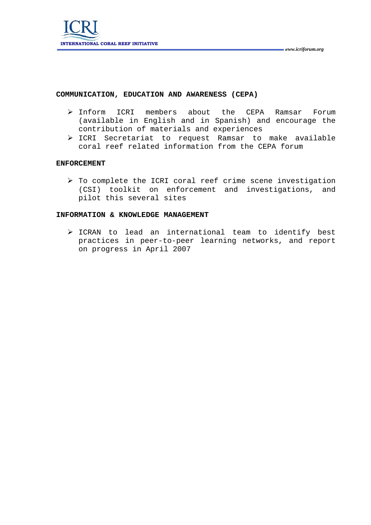# **COMMUNICATION, EDUCATION AND AWARENESS (CEPA)**

- ¾ Inform ICRI members about the CEPA Ramsar Forum (available in English and in Spanish) and encourage the contribution of materials and experiences
- ¾ ICRI Secretariat to request Ramsar to make available coral reef related information from the CEPA forum

### **ENFORCEMENT**

¾ To complete the ICRI coral reef crime scene investigation (CSI) toolkit on enforcement and investigations, and pilot this several sites

### **INFORMATION & KNOWLEDGE MANAGEMENT**

¾ ICRAN to lead an international team to identify best practices in peer-to-peer learning networks, and report on progress in April 2007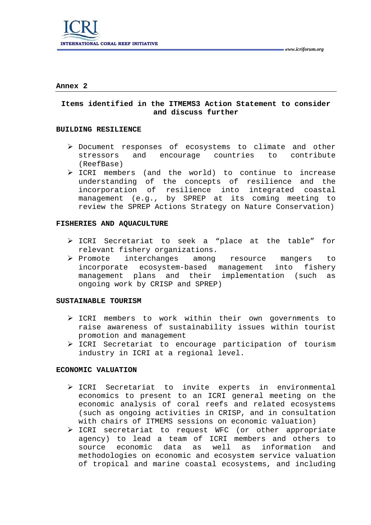

#### **Annex 2**

# **Items identified in the ITMEMS3 Action Statement to consider and discuss further**

#### **BUILDING RESILIENCE**

- ¾ Document responses of ecosystems to climate and other stressors and encourage countries to contribute (ReefBase)
- ¾ ICRI members (and the world) to continue to increase understanding of the concepts of resilience and the incorporation of resilience into integrated coastal management (e.g., by SPREP at its coming meeting to review the SPREP Actions Strategy on Nature Conservation)

### **FISHERIES AND AQUACULTURE**

- ¾ ICRI Secretariat to seek a "place at the table" for relevant fishery organizations.
- ¾ Promote interchanges among resource mangers to incorporate ecosystem-based management into fishery management plans and their implementation (such as ongoing work by CRISP and SPREP)

### **SUSTAINABLE TOURISM**

- ¾ ICRI members to work within their own governments to raise awareness of sustainability issues within tourist promotion and management
- ¾ ICRI Secretariat to encourage participation of tourism industry in ICRI at a regional level.

### **ECONOMIC VALUATION**

- ¾ ICRI Secretariat to invite experts in environmental economics to present to an ICRI general meeting on the economic analysis of coral reefs and related ecosystems (such as ongoing activities in CRISP, and in consultation with chairs of ITMEMS sessions on economic valuation)
- ¾ ICRI secretariat to request WFC (or other appropriate agency) to lead a team of ICRI members and others to source economic data as well as information and methodologies on economic and ecosystem service valuation of tropical and marine coastal ecosystems, and including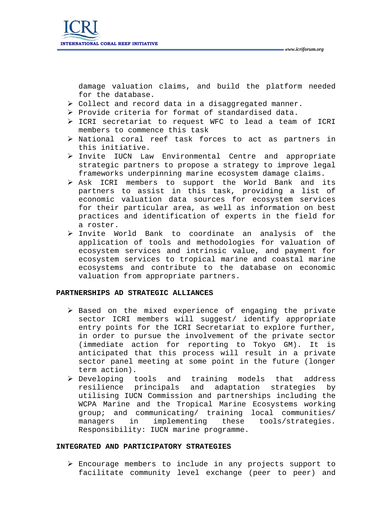damage valuation claims, and build the platform needed for the database.

- ¾ Collect and record data in a disaggregated manner.
- ¾ Provide criteria for format of standardised data.
- ¾ ICRI secretariat to request WFC to lead a team of ICRI members to commence this task
- ¾ National coral reef task forces to act as partners in this initiative.
- ¾ Invite IUCN Law Environmental Centre and appropriate strategic partners to propose a strategy to improve legal frameworks underpinning marine ecosystem damage claims.
- ¾ Ask ICRI members to support the World Bank and its partners to assist in this task, providing a list of economic valuation data sources for ecosystem services for their particular area, as well as information on best practices and identification of experts in the field for a roster.
- ¾ Invite World Bank to coordinate an analysis of the application of tools and methodologies for valuation of ecosystem services and intrinsic value, and payment for ecosystem services to tropical marine and coastal marine ecosystems and contribute to the database on economic valuation from appropriate partners.

### **PARTNERSHIPS AD STRATEGIC ALLIANCES**

- ¾ Based on the mixed experience of engaging the private sector ICRI members will suggest/ identify appropriate entry points for the ICRI Secretariat to explore further, in order to pursue the involvement of the private sector (immediate action for reporting to Tokyo GM). It is anticipated that this process will result in a private sector panel meeting at some point in the future (longer term action).
- ¾ Developing tools and training models that address resilience principals and adaptation strategies by utilising IUCN Commission and partnerships including the WCPA Marine and the Tropical Marine Ecosystems working group; and communicating/ training local communities/ managers in implementing these tools/strategies. Responsibility: IUCN marine programme.

### **INTEGRATED AND PARTICIPATORY STRATEGIES**

¾ Encourage members to include in any projects support to facilitate community level exchange (peer to peer) and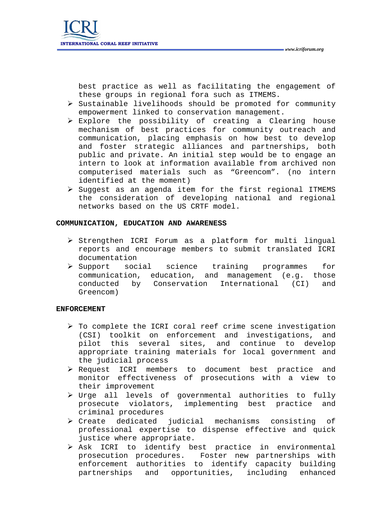best practice as well as facilitating the engagement of these groups in regional fora such as ITMEMS.

- $\triangleright$  Sustainable livelihoods should be promoted for community empowerment linked to conservation management.
- ¾ Explore the possibility of creating a Clearing house mechanism of best practices for community outreach and communication, placing emphasis on how best to develop and foster strategic alliances and partnerships, both public and private. An initial step would be to engage an intern to look at information available from archived non computerised materials such as "Greencom". (no intern identified at the moment)
- ¾ Suggest as an agenda item for the first regional ITMEMS the consideration of developing national and regional networks based on the US CRTF model.

### **COMMUNICATION, EDUCATION AND AWARENESS**

- ¾ Strengthen ICRI Forum as a platform for multi lingual reports and encourage members to submit translated ICRI documentation
- ¾ Support social science training programmes for communication, education, and management (e.g. those conducted by Conservation International (CI) and Greencom)

# **ENFORCEMENT**

- $\triangleright$  To complete the ICRI coral reef crime scene investigation (CSI) toolkit on enforcement and investigations, and pilot this several sites, and continue to develop appropriate training materials for local government and the judicial process
- ¾ Request ICRI members to document best practice and monitor effectiveness of prosecutions with a view to their improvement
- ¾ Urge all levels of governmental authorities to fully prosecute violators, implementing best practice and criminal procedures
- ¾ Create dedicated judicial mechanisms consisting of professional expertise to dispense effective and quick justice where appropriate.
- ¾ Ask ICRI to identify best practice in environmental prosecution procedures. Foster new partnerships with enforcement authorities to identify capacity building partnerships and opportunities, including enhanced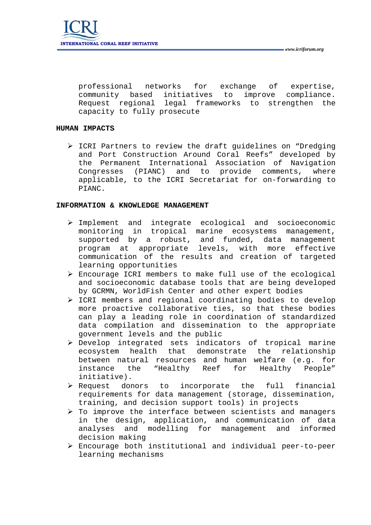professional networks for exchange of expertise, community based initiatives to improve compliance. Request regional legal frameworks to strengthen the capacity to fully prosecute

# **HUMAN IMPACTS**

¾ ICRI Partners to review the draft guidelines on "Dredging and Port Construction Around Coral Reefs" developed by the Permanent International Association of Navigation Congresses (PIANC) and to provide comments, where applicable, to the ICRI Secretariat for on-forwarding to PIANC.

# **INFORMATION & KNOWLEDGE MANAGEMENT**

- ¾ Implement and integrate ecological and socioeconomic monitoring in tropical marine ecosystems management, supported by a robust, and funded, data management program at appropriate levels, with more effective communication of the results and creation of targeted learning opportunities
- $\triangleright$  Encourage ICRI members to make full use of the ecological and socioeconomic database tools that are being developed by GCRMN, WorldFish Center and other expert bodies
- ¾ ICRI members and regional coordinating bodies to develop more proactive collaborative ties, so that these bodies can play a leading role in coordination of standardized data compilation and dissemination to the appropriate government levels and the public
- ¾ Develop integrated sets indicators of tropical marine ecosystem health that demonstrate the relationship between natural resources and human welfare (e.g. for instance the "Healthy Reef for Healthy People" initiative).
- $\triangleright$  Request donors to incorporate the full financial requirements for data management (storage, dissemination, training, and decision support tools) in projects
- $\triangleright$  To improve the interface between scientists and managers in the design, application, and communication of data analyses and modelling for management and informed decision making
- $\triangleright$  Encourage both institutional and individual peer-to-peer learning mechanisms